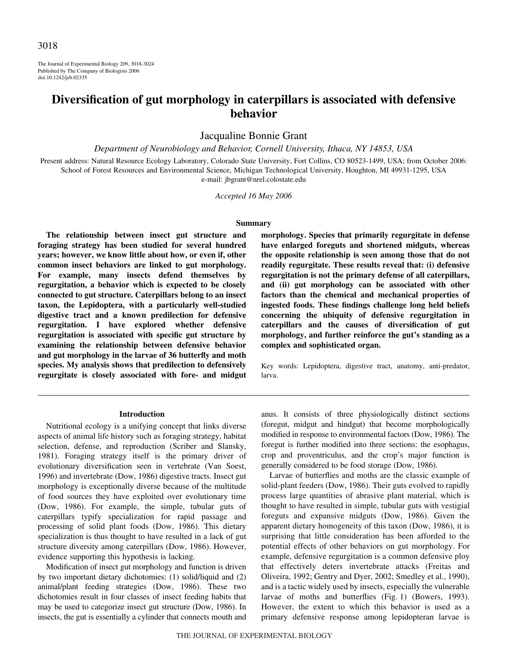The Journal of Experimental Biology 209, 3018-3024 Published by The Company of Biologists 2006 doi:10.1242/jeb.02335

# **Diversification of gut morphology in caterpillars is associated with defensive behavior**

Jacqualine Bonnie Grant

*Department of Neurobiology and Behavior, Cornell University, Ithaca, NY 14853, USA*

Present address: Natural Resource Ecology Laboratory, Colorado State University, Fort Collins, CO 80523-1499, USA; from October 2006: School of Forest Resources and Environmental Science, Michigan Technological University, Houghton, MI 49931-1295, USA e-mail: jbgrant@nrel.colostate.edu

*Accepted 16 May 2006*

#### **Summary**

**The relationship between insect gut structure and foraging strategy has been studied for several hundred years; however, we know little about how, or even if, other common insect behaviors are linked to gut morphology. For example, many insects defend themselves by regurgitation, a behavior which is expected to be closely connected to gut structure. Caterpillars belong to an insect taxon, the Lepidoptera, with a particularly well-studied digestive tract and a known predilection for defensive regurgitation. I have explored whether defensive regurgitation is associated with specific gut structure by examining the relationship between defensive behavior and gut morphology in the larvae of 36 butterfly and moth species. My analysis shows that predilection to defensively regurgitate is closely associated with fore- and midgut**

**morphology. Species that primarily regurgitate in defense have enlarged foreguts and shortened midguts, whereas the opposite relationship is seen among those that do not readily regurgitate. These results reveal that: (i) defensive regurgitation is not the primary defense of all caterpillars, and (ii) gut morphology can be associated with other factors than the chemical and mechanical properties of ingested foods. These findings challenge long held beliefs concerning the ubiquity of defensive regurgitation in caterpillars and the causes of diversification of gut morphology, and further reinforce the gut's standing as a complex and sophisticated organ.**

Key words: Lepidoptera, digestive tract, anatomy, anti-predator, larva.

#### **Introduction**

Nutritional ecology is a unifying concept that links diverse aspects of animal life history such as foraging strategy, habitat selection, defense, and reproduction (Scriber and Slansky, 1981). Foraging strategy itself is the primary driver of evolutionary diversification seen in vertebrate (Van Soest, 1996) and invertebrate (Dow, 1986) digestive tracts. Insect gut morphology is exceptionally diverse because of the multitude of food sources they have exploited over evolutionary time (Dow, 1986). For example, the simple, tubular guts of caterpillars typify specialization for rapid passage and processing of solid plant foods (Dow, 1986). This dietary specialization is thus thought to have resulted in a lack of gut structure diversity among caterpillars (Dow, 1986). However, evidence supporting this hypothesis is lacking.

Modification of insect gut morphology and function is driven by two important dietary dichotomies: (1) solid/liquid and (2) animal/plant feeding strategies (Dow, 1986). These two dichotomies result in four classes of insect feeding habits that may be used to categorize insect gut structure (Dow, 1986). In insects, the gut is essentially a cylinder that connects mouth and

anus. It consists of three physiologically distinct sections (foregut, midgut and hindgut) that become morphologically modified in response to environmental factors (Dow, 1986). The foregut is further modified into three sections: the esophagus, crop and proventriculus, and the crop's major function is generally considered to be food storage (Dow, 1986).

Larvae of butterflies and moths are the classic example of solid-plant feeders (Dow, 1986). Their guts evolved to rapidly process large quantities of abrasive plant material, which is thought to have resulted in simple, tubular guts with vestigial foreguts and expansive midguts (Dow, 1986). Given the apparent dietary homogeneity of this taxon (Dow, 1986), it is surprising that little consideration has been afforded to the potential effects of other behaviors on gut morphology. For example, defensive regurgitation is a common defensive ploy that effectively deters invertebrate attacks (Freitas and Oliveira, 1992; Gentry and Dyer, 2002; Smedley et al., 1990), and is a tactic widely used by insects, especially the vulnerable larvae of moths and butterflies (Fig. 1) (Bowers, 1993). However, the extent to which this behavior is used as a primary defensive response among lepidopteran larvae is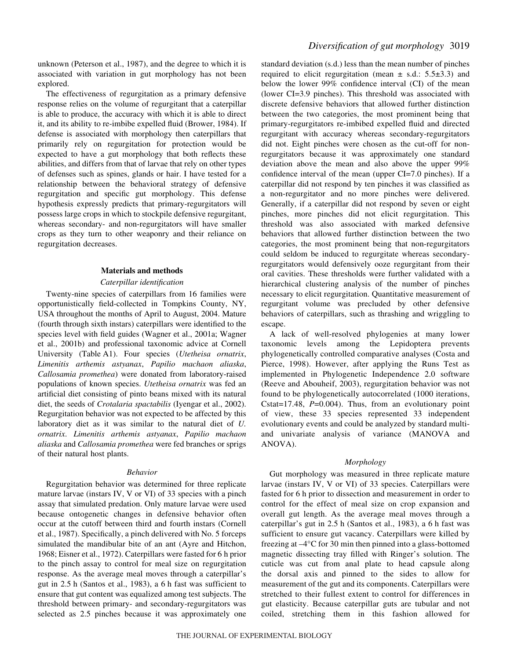unknown (Peterson et al., 1987), and the degree to which it is associated with variation in gut morphology has not been explored.

The effectiveness of regurgitation as a primary defensive response relies on the volume of regurgitant that a caterpillar is able to produce, the accuracy with which it is able to direct it, and its ability to re-imbibe expelled fluid (Brower, 1984). If defense is associated with morphology then caterpillars that primarily rely on regurgitation for protection would be expected to have a gut morphology that both reflects these abilities, and differs from that of larvae that rely on other types of defenses such as spines, glands or hair. I have tested for a relationship between the behavioral strategy of defensive regurgitation and specific gut morphology. This defense hypothesis expressly predicts that primary-regurgitators will possess large crops in which to stockpile defensive regurgitant, whereas secondary- and non-regurgitators will have smaller crops as they turn to other weaponry and their reliance on regurgitation decreases.

#### **Materials and methods**

#### *Caterpillar identification*

Twenty-nine species of caterpillars from 16 families were opportunistically field-collected in Tompkins County, NY, USA throughout the months of April to August, 2004. Mature (fourth through sixth instars) caterpillars were identified to the species level with field guides (Wagner et al., 2001a; Wagner et al., 2001b) and professional taxonomic advice at Cornell University (Table·A1). Four species (*Utetheisa ornatrix*, *Limenitis arthemis astyanax*, *Papilio machaon aliaska*, *Callosamia promethea*) were donated from laboratory-raised populations of known species. *Utetheisa ornatrix* was fed an artificial diet consisting of pinto beans mixed with its natural diet, the seeds of *Crotalaria spactabilis* (Iyengar et al., 2002). Regurgitation behavior was not expected to be affected by this laboratory diet as it was similar to the natural diet of *U. ornatrix*. *Limenitis arthemis astyanax*, *Papilio machaon aliaska* and *Callosamia promethea* were fed branches or sprigs of their natural host plants.

#### *Behavior*

Regurgitation behavior was determined for three replicate mature larvae (instars IV, V or VI) of 33 species with a pinch assay that simulated predation. Only mature larvae were used because ontogenetic changes in defensive behavior often occur at the cutoff between third and fourth instars (Cornell et al., 1987). Specifically, a pinch delivered with No. 5 forceps simulated the mandibular bite of an ant (Ayre and Hitchon, 1968; Eisner et al., 1972). Caterpillars were fasted for 6 h prior to the pinch assay to control for meal size on regurgitation response. As the average meal moves through a caterpillar's gut in 2.5 h (Santos et al., 1983), a 6 h fast was sufficient to ensure that gut content was equalized among test subjects. The threshold between primary- and secondary-regurgitators was selected as 2.5 pinches because it was approximately one

standard deviation (s.d.) less than the mean number of pinches required to elicit regurgitation (mean  $\pm$  s.d.: 5.5 $\pm$ 3.3) and below the lower 99% confidence interval (CI) of the mean (lower CI=3.9 pinches). This threshold was associated with discrete defensive behaviors that allowed further distinction between the two categories, the most prominent being that primary-regurgitators re-imbibed expelled fluid and directed regurgitant with accuracy whereas secondary-regurgitators did not. Eight pinches were chosen as the cut-off for nonregurgitators because it was approximately one standard deviation above the mean and also above the upper 99% confidence interval of the mean (upper CI=7.0 pinches). If a caterpillar did not respond by ten pinches it was classified as a non-regurgitator and no more pinches were delivered. Generally, if a caterpillar did not respond by seven or eight pinches, more pinches did not elicit regurgitation. This threshold was also associated with marked defensive behaviors that allowed further distinction between the two categories, the most prominent being that non-regurgitators could seldom be induced to regurgitate whereas secondaryregurgitators would defensively ooze regurgitant from their oral cavities. These thresholds were further validated with a hierarchical clustering analysis of the number of pinches necessary to elicit regurgitation. Quantitative measurement of regurgitant volume was precluded by other defensive behaviors of caterpillars, such as thrashing and wriggling to escape.

A lack of well-resolved phylogenies at many lower taxonomic levels among the Lepidoptera prevents phylogenetically controlled comparative analyses (Costa and Pierce, 1998). However, after applying the Runs Test as implemented in Phylogenetic Independence 2.0 software (Reeve and Abouheif, 2003), regurgitation behavior was not found to be phylogenetically autocorrelated (1000 iterations, Cstat=17.48, *P*=0.004). Thus, from an evolutionary point of view, these 33 species represented 33 independent evolutionary events and could be analyzed by standard multiand univariate analysis of variance (MANOVA and ANOVA).

### *Morphology*

Gut morphology was measured in three replicate mature larvae (instars IV, V or VI) of 33 species. Caterpillars were fasted for 6 h prior to dissection and measurement in order to control for the effect of meal size on crop expansion and overall gut length. As the average meal moves through a caterpillar's gut in 2.5 h (Santos et al., 1983), a 6 h fast was sufficient to ensure gut vacancy. Caterpillars were killed by freezing at  $-4^{\circ}$ C for 30 min then pinned into a glass-bottomed magnetic dissecting tray filled with Ringer's solution. The cuticle was cut from anal plate to head capsule along the dorsal axis and pinned to the sides to allow for measurement of the gut and its components. Caterpillars were stretched to their fullest extent to control for differences in gut elasticity. Because caterpillar guts are tubular and not coiled, stretching them in this fashion allowed for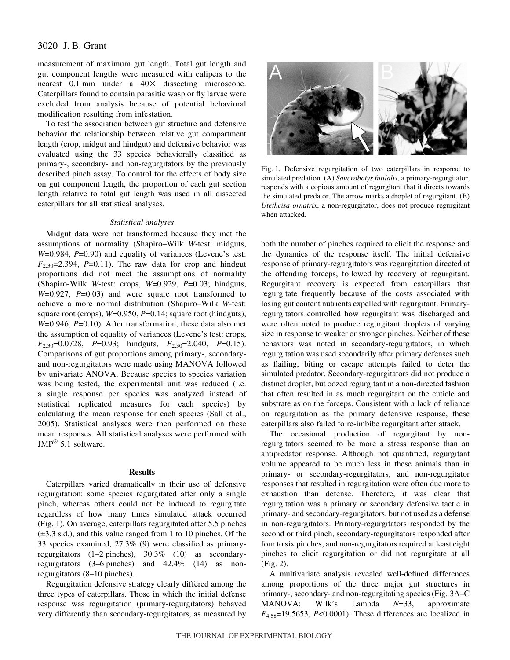# 3020 J. B. Grant

measurement of maximum gut length. Total gut length and gut component lengths were measured with calipers to the nearest  $0.1$  mm under a  $40\times$  dissecting microscope. Caterpillars found to contain parasitic wasp or fly larvae were excluded from analysis because of potential behavioral modification resulting from infestation.

To test the association between gut structure and defensive behavior the relationship between relative gut compartment length (crop, midgut and hindgut) and defensive behavior was evaluated using the 33 species behaviorally classified as primary-, secondary- and non-regurgitators by the previously described pinch assay. To control for the effects of body size on gut component length, the proportion of each gut section length relative to total gut length was used in all dissected caterpillars for all statistical analyses.

#### *Statistical analyses*

Midgut data were not transformed because they met the assumptions of normality (Shapiro–Wilk *W*-test: midguts, *W*=0.984, *P*=0.90) and equality of variances (Levene's test:  $F_{2,30}=2.394$ ,  $P=0.11$ ). The raw data for crop and hindgut proportions did not meet the assumptions of normality (Shapiro-Wilk *W*-test: crops, *W*=0.929, *P*=0.03; hindguts, *W*=0.927, *P*=0.03) and were square root transformed to achieve a more normal distribution (Shapiro–Wilk *W*-test: square root (crops), *W*=0.950, *P*=0.14; square root (hindguts), *W*=0.946, *P*=0.10). After transformation, these data also met the assumption of equality of variances (Levene's test: crops, *F*2,30=0.0728, *P*=0.93; hindguts, *F*2,30=2.040, *P*=0.15). Comparisons of gut proportions among primary-, secondaryand non-regurgitators were made using MANOVA followed by univariate ANOVA. Because species to species variation was being tested, the experimental unit was reduced (i.e. a single response per species was analyzed instead of statistical replicated measures for each species) by calculating the mean response for each species (Sall et al., 2005). Statistical analyses were then performed on these mean responses. All statistical analyses were performed with JMP® 5.1 software.

### **Results**

Caterpillars varied dramatically in their use of defensive regurgitation: some species regurgitated after only a single pinch, whereas others could not be induced to regurgitate regardless of how many times simulated attack occurred (Fig. 1). On average, caterpillars regurgitated after 5.5 pinches  $(\pm 3.3 \text{ s.d.})$ , and this value ranged from 1 to 10 pinches. Of the 33 species examined, 27.3% (9) were classified as primaryregurgitators  $(1-2 \text{ pinches})$ ,  $30.3\%$   $(10)$  as secondaryregurgitators  $(3-6$  pinches) and  $42.4\%$   $(14)$  as nonregurgitators  $(8-10$  pinches).

Regurgitation defensive strategy clearly differed among the three types of caterpillars. Those in which the initial defense response was regurgitation (primary-regurgitators) behaved very differently than secondary-regurgitators, as measured by



Fig. 1. Defensive regurgitation of two caterpillars in response to simulated predation. (A) *Saucrobotys futilalis*, a primary-regurgitator, responds with a copious amount of regurgitant that it directs towards the simulated predator. The arrow marks a droplet of regurgitant. (B) *Utetheisa ornatrix*, a non-regurgitator, does not produce regurgitant when attacked.

both the number of pinches required to elicit the response and the dynamics of the response itself. The initial defensive response of primary-regurgitators was regurgitation directed at the offending forceps, followed by recovery of regurgitant. Regurgitant recovery is expected from caterpillars that regurgitate frequently because of the costs associated with losing gut content nutrients expelled with regurgitant. Primaryregurgitators controlled how regurgitant was discharged and were often noted to produce regurgitant droplets of varying size in response to weaker or stronger pinches. Neither of these behaviors was noted in secondary-regurgitators, in which regurgitation was used secondarily after primary defenses such as flailing, biting or escape attempts failed to deter the simulated predator. Secondary-regurgitators did not produce a distinct droplet, but oozed regurgitant in a non-directed fashion that often resulted in as much regurgitant on the cuticle and substrate as on the forceps. Consistent with a lack of reliance on regurgitation as the primary defensive response, these caterpillars also failed to re-imbibe regurgitant after attack.

The occasional production of regurgitant by nonregurgitators seemed to be more a stress response than an antipredator response. Although not quantified, regurgitant volume appeared to be much less in these animals than in primary- or secondary-regurgitators, and non-regurgitator responses that resulted in regurgitation were often due more to exhaustion than defense. Therefore, it was clear that regurgitation was a primary or secondary defensive tactic in primary- and secondary-regurgitators, but not used as a defense in non-regurgitators. Primary-regurgitators responded by the second or third pinch, secondary-regurgitators responded after four to six pinches, and non-regurgitators required at least eight pinches to elicit regurgitation or did not regurgitate at all  $(Fig. 2)$ .

A multivariate analysis revealed well-defined differences among proportions of the three major gut structures in primary-, secondary- and non-regurgitating species (Fig.·3A–C MANOVA: Wilk's Lambda *N*=33, approximate *F*4,58=19.5653, *P*<0.0001). These differences are localized in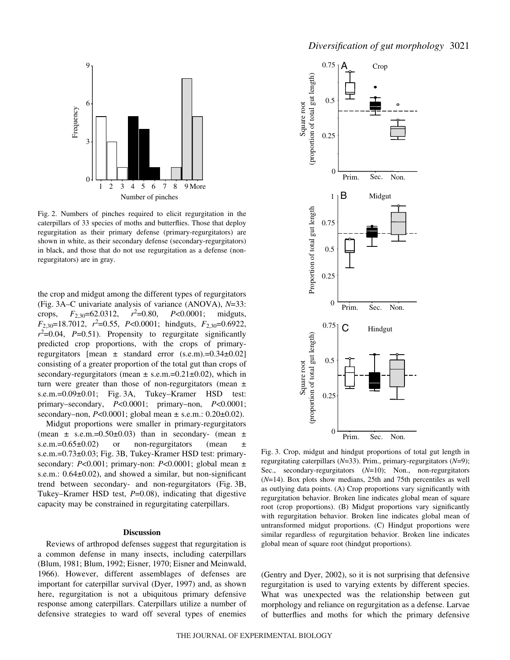

Fig. 2. Numbers of pinches required to elicit regurgitation in the caterpillars of 33 species of moths and butterflies. Those that deploy regurgitation as their primary defense (primary-regurgitators) are shown in white, as their secondary defense (secondary-regurgitators) in black, and those that do not use regurgitation as a defense (nonregurgitators) are in gray.

the crop and midgut among the different types of regurgitators (Fig. 3A–C univariate analysis of variance (ANOVA), *N*=33: crops,  $F_{2,30} = 62.0312$ ,  $r^2 = 0.80$ , =0.80, *P*<0.0001; midguts, *F*<sub>2,30</sub>=18.7012, *r*<sup>2</sup>=0.55, *P*<0.0001; hindguts, *F*<sub>2,30</sub>=0.6922,  $r^2$ =0.04, *P*=0.51). Propensity to regurgitate significantly predicted crop proportions, with the crops of primaryregurgitators  $[mean \pm standard error (s.e.m).=0.34\pm0.02]$ consisting of a greater proportion of the total gut than crops of secondary-regurgitators (mean  $\pm$  s.e.m.=0.21 $\pm$ 0.02), which in turn were greater than those of non-regurgitators (mean  $\pm$ s.e.m.=0.09±0.01; Fig. 3A, Tukey–Kramer HSD test: primary–secondary, *P*<0.0001; primary–non, *P*<0.0001; secondary–non, *P*<0.0001; global mean ± s.e.m.: 0.20±0.02).

Midgut proportions were smaller in primary-regurgitators (mean  $\pm$  s.e.m.=0.50 $\pm$ 0.03) than in secondary- (mean  $\pm$ s.e.m.= $0.65\pm0.02$  or non-regurgitators (mean  $\pm$ s.e.m.=0.73±0.03; Fig. 3B, Tukey-Kramer HSD test: primarysecondary: *P*<0.001; primary-non: *P*<0.0001; global mean ± s.e.m.: 0.64±0.02), and showed a similar, but non-significant trend between secondary- and non-regurgitators (Fig. 3B, Tukey–Kramer HSD test, *P*=0.08), indicating that digestive capacity may be constrained in regurgitating caterpillars.

#### **Discussion**

Reviews of arthropod defenses suggest that regurgitation is a common defense in many insects, including caterpillars (Blum, 1981; Blum, 1992; Eisner, 1970; Eisner and Meinwald, 1966). However, different assemblages of defenses are important for caterpillar survival (Dyer, 1997) and, as shown here, regurgitation is not a ubiquitous primary defensive response among caterpillars. Caterpillars utilize a number of defensive strategies to ward off several types of enemies



Fig. 3. Crop, midgut and hindgut proportions of total gut length in regurgitating caterpillars (*N*=33). Prim., primary-regurgitators (*N*=9); Sec., secondary-regurgitators (*N*=10); Non., non-regurgitators (*N*=14). Box plots show medians, 25th and 75th percentiles as well as outlying data points. (A) Crop proportions vary significantly with regurgitation behavior. Broken line indicates global mean of square root (crop proportions). (B) Midgut proportions vary significantly with regurgitation behavior. Broken line indicates global mean of untransformed midgut proportions. (C) Hindgut proportions were similar regardless of regurgitation behavior. Broken line indicates global mean of square root (hindgut proportions).

(Gentry and Dyer, 2002), so it is not surprising that defensive regurgitation is used to varying extents by different species. What was unexpected was the relationship between gut morphology and reliance on regurgitation as a defense. Larvae of butterflies and moths for which the primary defensive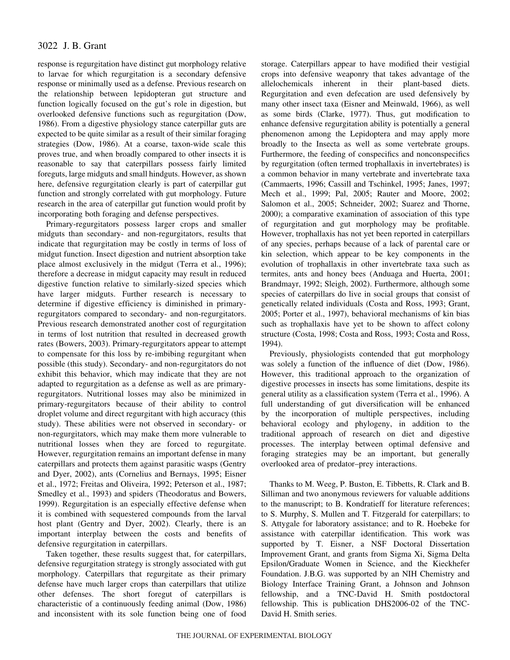# 3022 J. B. Grant

response is regurgitation have distinct gut morphology relative to larvae for which regurgitation is a secondary defensive response or minimally used as a defense. Previous research on the relationship between lepidopteran gut structure and function logically focused on the gut's role in digestion, but overlooked defensive functions such as regurgitation (Dow, 1986). From a digestive physiology stance caterpillar guts are expected to be quite similar as a result of their similar foraging strategies (Dow, 1986). At a coarse, taxon-wide scale this proves true, and when broadly compared to other insects it is reasonable to say that caterpillars possess fairly limited foreguts, large midguts and small hindguts. However, as shown here, defensive regurgitation clearly is part of caterpillar gut function and strongly correlated with gut morphology. Future research in the area of caterpillar gut function would profit by incorporating both foraging and defense perspectives.

Primary-regurgitators possess larger crops and smaller midguts than secondary- and non-regurgitators, results that indicate that regurgitation may be costly in terms of loss of midgut function. Insect digestion and nutrient absorption take place almost exclusively in the midgut (Terra et al., 1996); therefore a decrease in midgut capacity may result in reduced digestive function relative to similarly-sized species which have larger midguts. Further research is necessary to determine if digestive efficiency is diminished in primaryregurgitators compared to secondary- and non-regurgitators. Previous research demonstrated another cost of regurgitation in terms of lost nutrition that resulted in decreased growth rates (Bowers, 2003). Primary-regurgitators appear to attempt to compensate for this loss by re-imbibing regurgitant when possible (this study). Secondary- and non-regurgitators do not exhibit this behavior, which may indicate that they are not adapted to regurgitation as a defense as well as are primaryregurgitators. Nutritional losses may also be minimized in primary-regurgitators because of their ability to control droplet volume and direct regurgitant with high accuracy (this study). These abilities were not observed in secondary- or non-regurgitators, which may make them more vulnerable to nutritional losses when they are forced to regurgitate. However, regurgitation remains an important defense in many caterpillars and protects them against parasitic wasps (Gentry and Dyer, 2002), ants (Cornelius and Bernays, 1995; Eisner et al., 1972; Freitas and Oliveira, 1992; Peterson et al., 1987; Smedley et al., 1993) and spiders (Theodoratus and Bowers, 1999). Regurgitation is an especially effective defense when it is combined with sequestered compounds from the larval host plant (Gentry and Dyer, 2002). Clearly, there is an important interplay between the costs and benefits of defensive regurgitation in caterpillars.

Taken together, these results suggest that, for caterpillars, defensive regurgitation strategy is strongly associated with gut morphology. Caterpillars that regurgitate as their primary defense have much larger crops than caterpillars that utilize other defenses. The short foregut of caterpillars is characteristic of a continuously feeding animal (Dow, 1986) and inconsistent with its sole function being one of food

storage. Caterpillars appear to have modified their vestigial crops into defensive weaponry that takes advantage of the allelochemicals inherent in their plant-based diets. Regurgitation and even defecation are used defensively by many other insect taxa (Eisner and Meinwald, 1966), as well as some birds (Clarke, 1977). Thus, gut modification to enhance defensive regurgitation ability is potentially a general phenomenon among the Lepidoptera and may apply more broadly to the Insecta as well as some vertebrate groups. Furthermore, the feeding of conspecifics and nonconspecifics by regurgitation (often termed trophallaxis in invertebrates) is a common behavior in many vertebrate and invertebrate taxa (Cammaerts, 1996; Cassill and Tschinkel, 1995; Janes, 1997; Mech et al., 1999; Pal, 2005; Rauter and Moore, 2002; Salomon et al., 2005; Schneider, 2002; Suarez and Thorne, 2000); a comparative examination of association of this type of regurgitation and gut morphology may be profitable. However, trophallaxis has not yet been reported in caterpillars of any species, perhaps because of a lack of parental care or kin selection, which appear to be key components in the evolution of trophallaxis in other invertebrate taxa such as termites, ants and honey bees (Anduaga and Huerta, 2001; Brandmayr, 1992; Sleigh, 2002). Furthermore, although some species of caterpillars do live in social groups that consist of genetically related individuals (Costa and Ross, 1993; Grant, 2005; Porter et al., 1997), behavioral mechanisms of kin bias such as trophallaxis have yet to be shown to affect colony structure (Costa, 1998; Costa and Ross, 1993; Costa and Ross, 1994).

Previously, physiologists contended that gut morphology was solely a function of the influence of diet (Dow, 1986). However, this traditional approach to the organization of digestive processes in insects has some limitations, despite its general utility as a classification system (Terra et al., 1996). A full understanding of gut diversification will be enhanced by the incorporation of multiple perspectives, including behavioral ecology and phylogeny, in addition to the traditional approach of research on diet and digestive processes. The interplay between optimal defensive and foraging strategies may be an important, but generally overlooked area of predator–prey interactions.

Thanks to M. Weeg, P. Buston, E. Tibbetts, R. Clark and B. Silliman and two anonymous reviewers for valuable additions to the manuscript; to B. Kondratieff for literature references; to S. Murphy, S. Mullen and T. Fitzgerald for caterpillars; to S. Attygale for laboratory assistance; and to R. Hoebeke for assistance with caterpillar identification. This work was supported by T. Eisner, a NSF Doctoral Dissertation Improvement Grant, and grants from Sigma Xi, Sigma Delta Epsilon/Graduate Women in Science, and the Kieckhefer Foundation. J.B.G. was supported by an NIH Chemistry and Biology Interface Training Grant, a Johnson and Johnson fellowship, and a TNC-David H. Smith postdoctoral fellowship. This is publication DHS2006-02 of the TNC-David H. Smith series.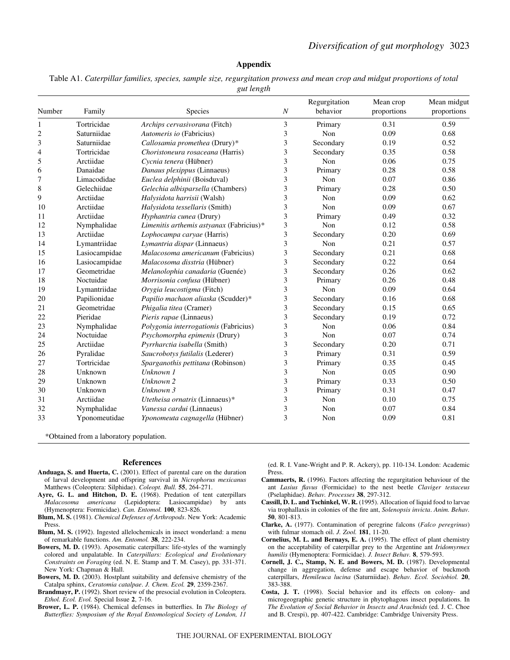#### **Appendix**

Table A1. *Caterpillar families, species, sample size, regurgitation prowess and mean crop and midgut proportions of total gut length*

| Number         | Family        | Species                                  | $\boldsymbol{N}$ | Regurgitation<br>behavior | Mean crop<br>proportions | Mean midgut<br>proportions |
|----------------|---------------|------------------------------------------|------------------|---------------------------|--------------------------|----------------------------|
| 1              | Tortricidae   | Archips cervasivorana (Fitch)            | 3                | Primary                   | 0.31                     | 0.59                       |
| $\overline{c}$ | Saturniidae   | Automeris io (Fabricius)                 | 3                | Non                       | 0.09                     | 0.68                       |
| 3              | Saturniidae   | Callosamia promethea (Drury)*            | 3                | Secondary                 | 0.19                     | 0.52                       |
| 4              | Tortricidae   | Choristoneura rosaceana (Harris)         | 3                | Secondary                 | 0.35                     | 0.58                       |
| 5              | Arctiidae     | Cycnia tenera (Hübner)                   | 3                | Non                       | 0.06                     | 0.75                       |
| 6              | Danaidae      | Danaus plexippus (Linnaeus)              | 3                | Primary                   | 0.28                     | 0.58                       |
| 7              | Limacodidae   | Euclea delphinii (Boisduval)             | 3                | Non                       | 0.07                     | 0.86                       |
| 8              | Gelechiidae   | Gelechia albisparsella (Chambers)        | 3                | Primary                   | 0.28                     | 0.50                       |
| 9              | Arctiidae     | Halysidota harrisii (Walsh)              | 3                | Non                       | 0.09                     | 0.62                       |
| 10             | Arctiidae     | Halysidota tessellaris (Smith)           | 3                | Non                       | 0.09                     | 0.67                       |
| 11             | Arctiidae     | Hyphantria cunea (Drury)                 | 3                | Primary                   | 0.49                     | 0.32                       |
| 12             | Nymphalidae   | Limenitis arthemis astyanax (Fabricius)* | 3                | Non                       | 0.12                     | 0.58                       |
| 13             | Arctiidae     | Lophocampa caryae (Harris)               | 3                | Secondary                 | 0.20                     | 0.69                       |
| 14             | Lymantriidae  | Lymantria dispar (Linnaeus)              | 3                | Non                       | 0.21                     | 0.57                       |
| 15             | Lasiocampidae | Malacosoma americanum (Fabricius)        | 3                | Secondary                 | 0.21                     | 0.68                       |
| 16             | Lasiocampidae | Malacosoma disstria (Hübner)             | 3                | Secondary                 | 0.22                     | 0.64                       |
| 17             | Geometridae   | Melanolophia canadaria (Guenée)          | 3                | Secondary                 | 0.26                     | 0.62                       |
| 18             | Noctuidae     | Morrisonia confusa (Hübner)              | 3                | Primary                   | 0.26                     | 0.48                       |
| 19             | Lymantriidae  | Orygia leucostigma (Fitch)               | 3                | Non                       | 0.09                     | 0.64                       |
| 20             | Papilionidae  | Papilio machaon aliaska (Scudder)*       | 3                | Secondary                 | 0.16                     | 0.68                       |
| 21             | Geometridae   | Phigalia titea (Cramer)                  | 3                | Secondary                 | 0.15                     | 0.65                       |
| 22             | Pieridae      | Pieris rapae (Linnaeus)                  | 3                | Secondary                 | 0.19                     | 0.72                       |
| 23             | Nymphalidae   | Polygonia interrogationis (Fabricius)    | 3                | Non                       | 0.06                     | 0.84                       |
| 24             | Noctuidae     | Psychomorpha epimenis (Drury)            | 3                | Non                       | 0.07                     | 0.74                       |
| 25             | Arctiidae     | Pyrrharctia isabella (Smith)             | 3                | Secondary                 | 0.20                     | 0.71                       |
| 26             | Pyralidae     | Saucrobotys futilalis (Lederer)          | 3                | Primary                   | 0.31                     | 0.59                       |
| 27             | Tortricidae   | Sparganothis pettitana (Robinson)        | 3                | Primary                   | 0.35                     | 0.45                       |
| 28             | Unknown       | Unknown 1                                | 3                | Non                       | 0.05                     | 0.90                       |
| 29             | Unknown       | Unknown 2                                | 3                | Primary                   | 0.33                     | 0.50                       |
| 30             | Unknown       | Unknown 3                                | 3                | Primary                   | 0.31                     | 0.47                       |
| 31             | Arctiidae     | Utetheisa ornatrix (Linnaeus)*           | 3                | Non                       | 0.10                     | 0.75                       |
| 32             | Nymphalidae   | Vanessa cardui (Linnaeus)                | 3                | Non                       | 0.07                     | 0.84                       |
| 33             | Yponomeutidae | Yponomeuta cagnagella (Hübner)           | 3                | Non                       | 0.09                     | 0.81                       |

\*Obtained from a laboratory population.

#### **References**

- **Anduaga, S. and Huerta, C.** (2001). Effect of parental care on the duration of larval development and offspring survival in *Nicrophorus mexicanus* Matthews (Coleoptera: Silphidae). *Coleopt. Bull.* **55**, 264-271.
- **Ayre, G. L. and Hitchon, D. E.** (1968). Predation of tent caterpillars *Malacosoma americana* (Lepidoptera: Lasiocampidae) by ants (Hymenoptera: Formicidae). *Can. Entomol.* **100**, 823-826.
- **Blum, M. S.** (1981). *Chemical Defenses of Arthropods*. New York: Academic Press.
- **Blum, M. S.** (1992). Ingested allelochemicals in insect wonderland: a menu of remarkable functions. *Am. Entomol.* **38**, 222-234.
- **Bowers, M. D.** (1993). Aposematic caterpillars: life-styles of the warningly colored and unpalatable. In *Caterpillars: Ecological and Evolutionary Constraints on Foraging* (ed. N. E. Stamp and T. M. Casey), pp. 331-371. New York: Chapman & Hall.
- **Bowers, M. D.** (2003). Hostplant suitability and defensive chemistry of the Catalpa sphinx, *Ceratomia catalpae*. *J. Chem. Ecol.* **29**, 2359-2367.
- **Brandmayr, P.** (1992). Short review of the presocial evolution in Coleoptera. *Ethol. Ecol. Evol.* Special Issue **2**, 7-16.
- **Brower, L. P.** (1984). Chemical defenses in butterflies. In *The Biology of Butterflies: Symposium of the Royal Entomological Society of London, 11*
- (ed. R. I. Vane-Wright and P. R. Ackery), pp. 110-134. London: Academic Press.
- **Cammaerts, R.** (1996). Factors affecting the regurgitation behaviour of the ant *Lasius flavus* (Formicidae) to the nest beetle *Claviger testaceus* (Pselaphidae). *Behav. Processes* **38**, 297-312.
- **Cassill, D. L. and Tschinkel, W. R.** (1995). Allocation of liquid food to larvae via trophallaxis in colonies of the fire ant, *Solenopsis invicta*. *Anim. Behav.* **50**, 801-813.
- **Clarke, A.** (1977). Contamination of peregrine falcons (*Falco peregrinus*) with fulmar stomach oil. *J. Zool.* **181**, 11-20.
- **Cornelius, M. L. and Bernays, E. A.** (1995). The effect of plant chemistry on the acceptability of caterpillar prey to the Argentine ant *Iridomyrmex humilis* (Hymenoptera: Formicidae). *J. Insect Behav.* **8**, 579-593.
- **Cornell, J. C., Stamp, N. E. and Bowers, M. D.** (1987). Developmental change in aggregation, defense and escape behavior of buckmoth caterpillars, *Hemileuca lucina* (Saturniidae). *Behav. Ecol. Sociobiol.* **20**, 383-388.
- **Costa, J. T.** (1998). Social behavior and its effects on colony- and microgeographic genetic structure in phytophagous insect populations. In *The Evolution of Social Behavior in Insects and Arachnids* (ed. J. C. Choe and B. Crespi), pp. 407-422. Cambridge: Cambridge University Press.